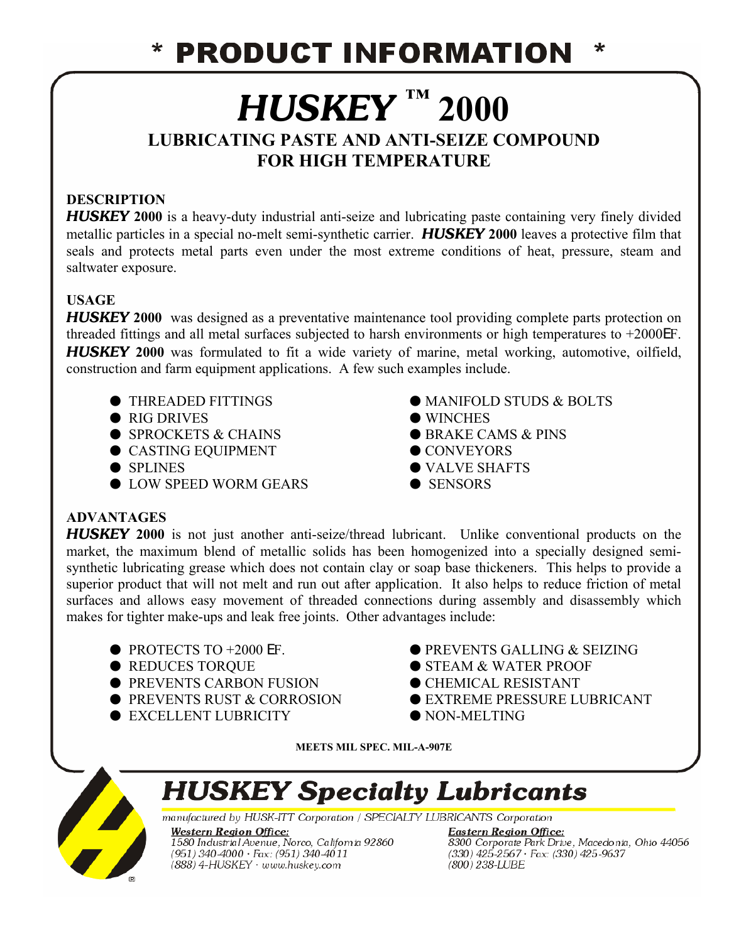### **PRODUCT INFORMATION** ∗

# *HUSKEY* **™ 2000**

# **LUBRICATING PASTE AND ANTI-SEIZE COMPOUND FOR HIGH TEMPERATURE**

## **DESCRIPTION**

*HUSKEY* **2000** is a heavy-duty industrial anti-seize and lubricating paste containing very finely divided metallic particles in a special no-melt semi-synthetic carrier.*HUSKEY* **2000** leaves a protective film that seals and protects metal parts even under the most extreme conditions of heat, pressure, steam and saltwater exposure.

### **USAGE**

*HUSKEY* 2000 was designed as a preventative maintenance tool providing complete parts protection on threaded fittings and all metal surfaces subjected to harsh environments or high temperatures to +2000EF. *HUSKEY* **2000** was formulated to fit a wide variety of marine, metal working, automotive, oilfield, construction and farm equipment applications. A few such examples include.

- 
- $\bullet$  RIG DRIVES  $\bullet$  WINCHES
- $\bullet$  SPROCKETS & CHAINS  $\bullet$  BRAKE CAMS & PINS
- $\bullet$  CASTING EQUIPMENT  $\bullet$  CONVEYORS
- 
- $\bullet$  LOW SPEED WORM GEARS  $\bullet$  SENSORS
- $\bullet$  THREADED FITTINGS  $\bullet$  MANIFOLD STUDS & BOLTS
	-
	-
	-
- $\bullet$  SPLINES  $\bullet$  VALVE SHAFTS
	-

### **ADVANTAGES**

*HUSKEY* **2000** is not just another anti-seize/thread lubricant. Unlike conventional products on the market, the maximum blend of metallic solids has been homogenized into a specially designed semisynthetic lubricating grease which does not contain clay or soap base thickeners. This helps to provide a superior product that will not melt and run out after application. It also helps to reduce friction of metal surfaces and allows easy movement of threaded connections during assembly and disassembly which makes for tighter make-ups and leak free joints. Other advantages include:

- 
- 
- $\bullet$  PREVENTS CARBON FUSION  $\bullet$  CHEMICAL RESISTANT
- 
- $\bullet$  EXCELLENT LUBRICITY  $\bullet$  NON-MELTING
- PROTECTS TO +2000 EF. ● PREVENTS GALLING & SEIZING
- REDUCES TOROUE ● STEAM & WATER PROOF
	-
- PREVENTS RUST & CORROSION EXTREME PRESSURE LUBRICANT
	-

**MEETS MIL SPEC. MIL-A-907E**



# **HUSKEY Specialty Lubricants**

manufactured by HUSK-ITT Corporation / SPECIALTY LUBRICANTS Corporation

**Western Region Office:** 1580 Industrial Avenue, Norco, California 92860  $(951)$  340-4000  $\cdot$  Fax: (951) 340-4011  $(888)$  4-HUSKEY  $\cdot$  www.huskey.com

**Eastern Region Office: Elisier in Region Office.**<br>8300 Corporate Park Drive, Macedonia, Ohio 44056<br>(330) 425-2567 · Fax: (330) 425-9637<br>(800) 238-LUBE